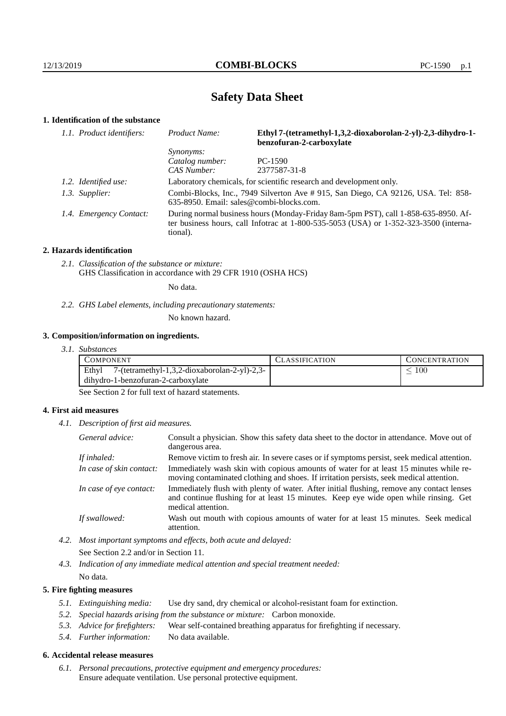# **Safety Data Sheet**

# **1. Identification of the substance**

| 1.1. Product identifiers: | Ethyl 7-(tetramethyl-1,3,2-dioxaborolan-2-yl)-2,3-dihydro-1-<br>Product Name:<br>benzofuran-2-carboxylate                                                                               |              |
|---------------------------|-----------------------------------------------------------------------------------------------------------------------------------------------------------------------------------------|--------------|
|                           | <i>Synonyms:</i>                                                                                                                                                                        |              |
|                           | Catalog number:                                                                                                                                                                         | $PC-1590$    |
|                           | CAS Number:                                                                                                                                                                             | 2377587-31-8 |
| 1.2. Identified use:      | Laboratory chemicals, for scientific research and development only.                                                                                                                     |              |
| 1.3. Supplier:            | Combi-Blocks, Inc., 7949 Silverton Ave # 915, San Diego, CA 92126, USA. Tel: 858-<br>$635-8950$ . Email: sales@combi-blocks.com.                                                        |              |
| 1.4. Emergency Contact:   | During normal business hours (Monday-Friday 8am-5pm PST), call 1-858-635-8950. Af-<br>ter business hours, call Infotrac at 1-800-535-5053 (USA) or 1-352-323-3500 (interna-<br>tional). |              |

#### **2. Hazards identification**

*2.1. Classification of the substance or mixture:* GHS Classification in accordance with 29 CFR 1910 (OSHA HCS)

No data.

*2.2. GHS Label elements, including precautionary statements:*

No known hazard.

## **3. Composition/information on ingredients.**

| 3. I.<br><i>Substances</i> |  |
|----------------------------|--|
|----------------------------|--|

| COMPONENT                                             | LASSIFICATION. | CONCENTRATION. |
|-------------------------------------------------------|----------------|----------------|
| Ethyl<br>7-(tetramethyl-1,3,2-dioxaborolan-2-yl)-2,3- |                | 100            |
| dihydro-1-benzofuran-2-carboxylate                    |                |                |

See Section 2 for full text of hazard statements.

## **4. First aid measures**

*4.1. Description of first aid measures.*

| General advice:          | Consult a physician. Show this safety data sheet to the doctor in attendance. Move out of<br>dangerous area.                                                                                            |
|--------------------------|---------------------------------------------------------------------------------------------------------------------------------------------------------------------------------------------------------|
| If inhaled:              | Remove victim to fresh air. In severe cases or if symptoms persist, seek medical attention.                                                                                                             |
| In case of skin contact: | Immediately wash skin with copious amounts of water for at least 15 minutes while re-<br>moving contaminated clothing and shoes. If irritation persists, seek medical attention.                        |
| In case of eye contact:  | Immediately flush with plenty of water. After initial flushing, remove any contact lenses<br>and continue flushing for at least 15 minutes. Keep eye wide open while rinsing. Get<br>medical attention. |
| If swallowed:            | Wash out mouth with copious amounts of water for at least 15 minutes. Seek medical<br>attention.                                                                                                        |

*4.2. Most important symptoms and effects, both acute and delayed:* See Section 2.2 and/or in Section 11.

*4.3. Indication of any immediate medical attention and special treatment needed:* No data.

# **5. Fire fighting measures**

- *5.1. Extinguishing media:* Use dry sand, dry chemical or alcohol-resistant foam for extinction.
- *5.2. Special hazards arising from the substance or mixture:* Carbon monoxide.
- *5.3. Advice for firefighters:* Wear self-contained breathing apparatus for firefighting if necessary.
- *5.4. Further information:* No data available.

# **6. Accidental release measures**

*6.1. Personal precautions, protective equipment and emergency procedures:* Ensure adequate ventilation. Use personal protective equipment.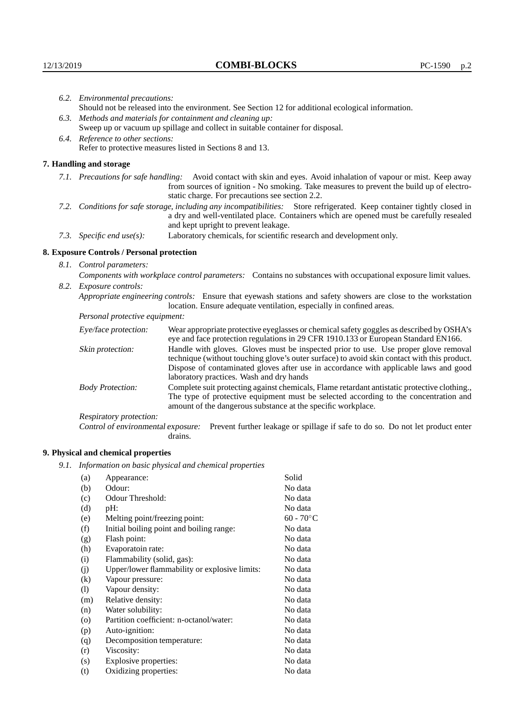|                                                                                                                | 6.2. Environmental precautions:                                                                                                                                                                                                                            |                                                                                                                                                                                                                                                                    |  |  |
|----------------------------------------------------------------------------------------------------------------|------------------------------------------------------------------------------------------------------------------------------------------------------------------------------------------------------------------------------------------------------------|--------------------------------------------------------------------------------------------------------------------------------------------------------------------------------------------------------------------------------------------------------------------|--|--|
|                                                                                                                | Should not be released into the environment. See Section 12 for additional ecological information.                                                                                                                                                         |                                                                                                                                                                                                                                                                    |  |  |
| 6.3. Methods and materials for containment and cleaning up:                                                    |                                                                                                                                                                                                                                                            |                                                                                                                                                                                                                                                                    |  |  |
|                                                                                                                |                                                                                                                                                                                                                                                            | Sweep up or vacuum up spillage and collect in suitable container for disposal.                                                                                                                                                                                     |  |  |
|                                                                                                                | 6.4. Reference to other sections:                                                                                                                                                                                                                          |                                                                                                                                                                                                                                                                    |  |  |
|                                                                                                                | Refer to protective measures listed in Sections 8 and 13.                                                                                                                                                                                                  |                                                                                                                                                                                                                                                                    |  |  |
|                                                                                                                | 7. Handling and storage                                                                                                                                                                                                                                    |                                                                                                                                                                                                                                                                    |  |  |
|                                                                                                                |                                                                                                                                                                                                                                                            | 7.1. Precautions for safe handling: Avoid contact with skin and eyes. Avoid inhalation of vapour or mist. Keep away<br>from sources of ignition - No smoking. Take measures to prevent the build up of electro-<br>static charge. For precautions see section 2.2. |  |  |
|                                                                                                                | 7.2. Conditions for safe storage, including any incompatibilities: Store refrigerated. Keep container tightly closed in<br>a dry and well-ventilated place. Containers which are opened must be carefully resealed<br>and kept upright to prevent leakage. |                                                                                                                                                                                                                                                                    |  |  |
|                                                                                                                | Laboratory chemicals, for scientific research and development only.<br>7.3. Specific end use(s):                                                                                                                                                           |                                                                                                                                                                                                                                                                    |  |  |
|                                                                                                                | 8. Exposure Controls / Personal protection                                                                                                                                                                                                                 |                                                                                                                                                                                                                                                                    |  |  |
|                                                                                                                | 8.1. Control parameters:                                                                                                                                                                                                                                   |                                                                                                                                                                                                                                                                    |  |  |
|                                                                                                                | Components with workplace control parameters: Contains no substances with occupational exposure limit values.                                                                                                                                              |                                                                                                                                                                                                                                                                    |  |  |
|                                                                                                                | 8.2. Exposure controls:                                                                                                                                                                                                                                    |                                                                                                                                                                                                                                                                    |  |  |
| Appropriate engineering controls: Ensure that eyewash stations and safety showers are close to the workstation |                                                                                                                                                                                                                                                            | location. Ensure adequate ventilation, especially in confined areas.                                                                                                                                                                                               |  |  |
|                                                                                                                | Personal protective equipment:<br>Wear appropriate protective eyeglasses or chemical safety goggles as described by OSHA's<br>Eye/face protection:<br>eye and face protection regulations in 29 CFR 1910.133 or European Standard EN166.                   |                                                                                                                                                                                                                                                                    |  |  |
|                                                                                                                |                                                                                                                                                                                                                                                            |                                                                                                                                                                                                                                                                    |  |  |
|                                                                                                                | Skin protection:                                                                                                                                                                                                                                           | Handle with gloves. Gloves must be inspected prior to use. Use proper glove removal<br>technique (without touching glove's outer surface) to avoid skin contact with this product.                                                                                 |  |  |

# **8. Exposure Controls / Personal protection**

| Eye/face protection:               | Wear appropriate protective eyeglasses or chemical safety goggles as described by OSHA's<br>eye and face protection regulations in 29 CFR 1910.133 or European Standard EN166.                                                                                                                                         |  |  |
|------------------------------------|------------------------------------------------------------------------------------------------------------------------------------------------------------------------------------------------------------------------------------------------------------------------------------------------------------------------|--|--|
| Skin protection:                   | Handle with gloves. Gloves must be inspected prior to use. Use proper glove removal<br>technique (without touching glove's outer surface) to avoid skin contact with this product.<br>Dispose of contaminated gloves after use in accordance with applicable laws and good<br>laboratory practices. Wash and dry hands |  |  |
| <b>Body Protection:</b>            | Complete suit protecting against chemicals, Flame retardant antistatic protective clothing.<br>The type of protective equipment must be selected according to the concentration and<br>amount of the dangerous substance at the specific workplace.                                                                    |  |  |
| Respiratory protection:            |                                                                                                                                                                                                                                                                                                                        |  |  |
| Control of environmental exposure: | Prevent further leakage or spillage if safe to do so. Do not let product enter<br>drains.                                                                                                                                                                                                                              |  |  |

# **9. Physical and chemical properties**

*9.1. Information on basic physical and chemical properties*

| (a)                | Appearance:                                   | Solid        |
|--------------------|-----------------------------------------------|--------------|
| (b)                | Odour:                                        | No data      |
| (c)                | Odour Threshold:                              | No data      |
| (d)                | pH:                                           | No data      |
| (e)                | Melting point/freezing point:                 | $60 - 70$ °C |
| (f)                | Initial boiling point and boiling range:      | No data      |
| (g)                | Flash point:                                  | No data      |
| (h)                | Evaporatoin rate:                             | No data      |
| (i)                | Flammability (solid, gas):                    | No data      |
| (j)                | Upper/lower flammability or explosive limits: | No data      |
| $\rm(k)$           | Vapour pressure:                              | No data      |
| (1)                | Vapour density:                               | No data      |
| (m)                | Relative density:                             | No data      |
| (n)                | Water solubility:                             | No data      |
| $\left( 0 \right)$ | Partition coefficient: n-octanol/water:       | No data      |
| (p)                | Auto-ignition:                                | No data      |
| (q)                | Decomposition temperature:                    | No data      |
| (r)                | Viscosity:                                    | No data      |
| (s)                | Explosive properties:                         | No data      |
| (t)                | Oxidizing properties:                         | No data      |